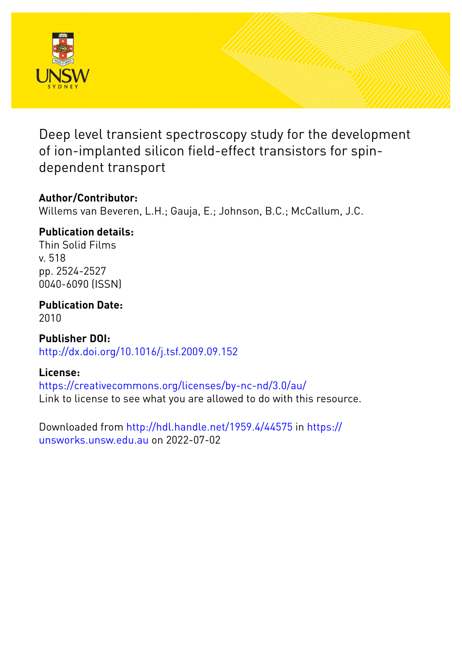

Deep level transient spectroscopy study for the development of ion-implanted silicon field-effect transistors for spindependent transport

## **Author/Contributor:**

Willems van Beveren, L.H.; Gauja, E.; Johnson, B.C.; McCallum, J.C.

## **Publication details:**

Thin Solid Films v. 518 pp. 2524-2527 0040-6090 (ISSN)

**Publication Date:** 2010

**Publisher DOI:** [http://dx.doi.org/10.1016/j.tsf.2009.09.152](http://dx.doi.org/http://dx.doi.org/10.1016/j.tsf.2009.09.152)

## **License:**

<https://creativecommons.org/licenses/by-nc-nd/3.0/au/> Link to license to see what you are allowed to do with this resource.

Downloaded from <http://hdl.handle.net/1959.4/44575> in [https://](https://unsworks.unsw.edu.au) [unsworks.unsw.edu.au](https://unsworks.unsw.edu.au) on 2022-07-02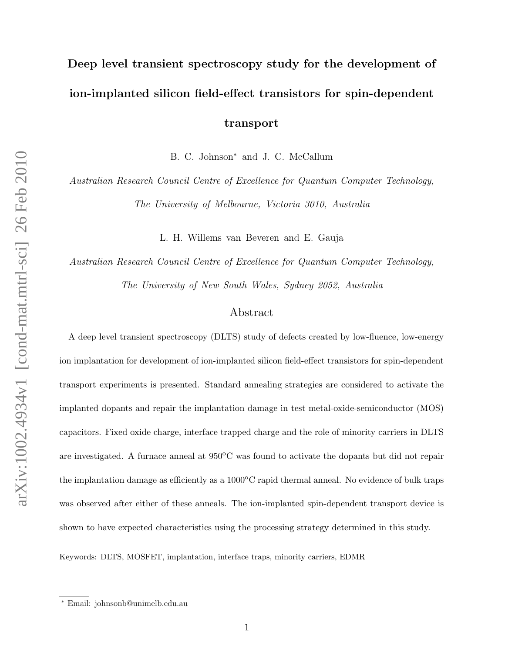# Deep level transient spectroscopy study for the development of ion-implanted silicon field-effect transistors for spin-dependent transport

B. C. Johnson<sup>∗</sup> and J. C. McCallum

Australian Research Council Centre of Excellence for Quantum Computer Technology, The University of Melbourne, Victoria 3010, Australia

L. H. Willems van Beveren and E. Gauja

Australian Research Council Centre of Excellence for Quantum Computer Technology, The University of New South Wales, Sydney 2052, Australia

### Abstract

A deep level transient spectroscopy (DLTS) study of defects created by low-fluence, low-energy ion implantation for development of ion-implanted silicon field-effect transistors for spin-dependent transport experiments is presented. Standard annealing strategies are considered to activate the implanted dopants and repair the implantation damage in test metal-oxide-semiconductor (MOS) capacitors. Fixed oxide charge, interface trapped charge and the role of minority carriers in DLTS are investigated. A furnace anneal at  $950^{\circ}$ C was found to activate the dopants but did not repair the implantation damage as efficiently as a  $1000^{\circ}$ C rapid thermal anneal. No evidence of bulk traps was observed after either of these anneals. The ion-implanted spin-dependent transport device is shown to have expected characteristics using the processing strategy determined in this study.

Keywords: DLTS, MOSFET, implantation, interface traps, minority carriers, EDMR

<sup>∗</sup> Email: johnsonb@unimelb.edu.au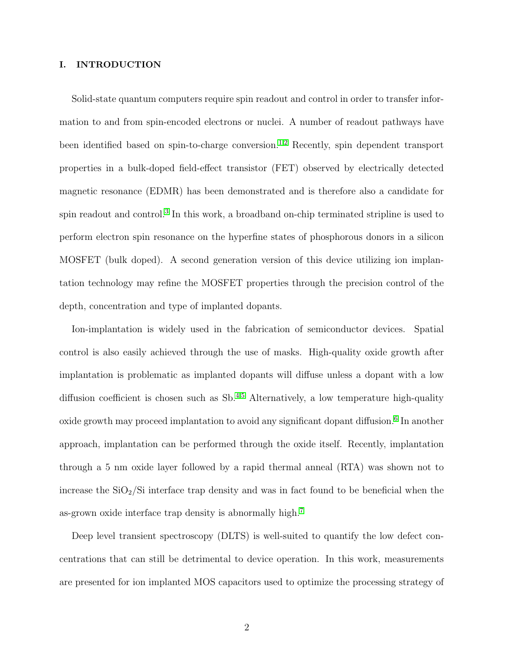#### I. INTRODUCTION

Solid-state quantum computers require spin readout and control in order to transfer information to and from spin-encoded electrons or nuclei. A number of readout pathways have been identified based on spin-to-charge conversion.<sup>[1,](#page-8-0)[2](#page-8-1)</sup> Recently, spin dependent transport properties in a bulk-doped field-effect transistor (FET) observed by electrically detected magnetic resonance (EDMR) has been demonstrated and is therefore also a candidate for spin readout and control.<sup>[3](#page-8-2)</sup> In this work, a broadband on-chip terminated stripline is used to perform electron spin resonance on the hyperfine states of phosphorous donors in a silicon MOSFET (bulk doped). A second generation version of this device utilizing ion implantation technology may refine the MOSFET properties through the precision control of the depth, concentration and type of implanted dopants.

Ion-implantation is widely used in the fabrication of semiconductor devices. Spatial control is also easily achieved through the use of masks. High-quality oxide growth after implantation is problematic as implanted dopants will diffuse unless a dopant with a low diffusion coefficient is chosen such as  $\text{Sb}^{4,5}$  $\text{Sb}^{4,5}$  $\text{Sb}^{4,5}$  $\text{Sb}^{4,5}$  Alternatively, a low temperature high-quality oxide growth may proceed implantation to avoid any significant dopant diffusion.<sup>[6](#page-8-5)</sup> In another approach, implantation can be performed through the oxide itself. Recently, implantation through a 5 nm oxide layer followed by a rapid thermal anneal (RTA) was shown not to increase the  $SiO<sub>2</sub>/Si$  interface trap density and was in fact found to be beneficial when the as-grown oxide interface trap density is abnormally high.[7](#page-9-0)

Deep level transient spectroscopy (DLTS) is well-suited to quantify the low defect concentrations that can still be detrimental to device operation. In this work, measurements are presented for ion implanted MOS capacitors used to optimize the processing strategy of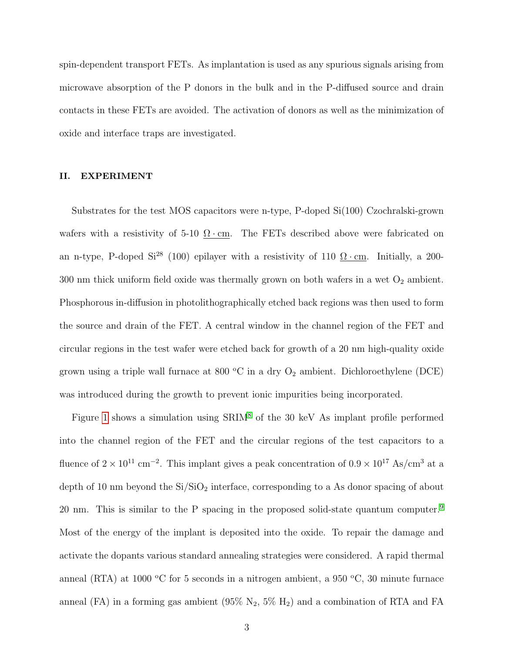spin-dependent transport FETs. As implantation is used as any spurious signals arising from microwave absorption of the P donors in the bulk and in the P-diffused source and drain contacts in these FETs are avoided. The activation of donors as well as the minimization of oxide and interface traps are investigated.

#### II. EXPERIMENT

Substrates for the test MOS capacitors were n-type, P-doped Si(100) Czochralski-grown wafers with a resistivity of 5-10  $\Omega$  · cm. The FETs described above were fabricated on an n-type, P-doped Si<sup>28</sup> (100) epilayer with a resistivity of 110  $\Omega \cdot$ cm. Initially, a 200- $300$  nm thick uniform field oxide was thermally grown on both wafers in a wet  $\mathrm{O}_2$  ambient. Phosphorous in-diffusion in photolithographically etched back regions was then used to form the source and drain of the FET. A central window in the channel region of the FET and circular regions in the test wafer were etched back for growth of a 20 nm high-quality oxide grown using a triple wall furnace at 800  $^{\circ}\text{C}$  in a dry  $\text{O}_2$  ambient. Dichloroethylene (DCE) was introduced during the growth to prevent ionic impurities being incorporated.

Figure [1](#page-10-0) shows a simulation using  $\text{SRIM}^8$  $\text{SRIM}^8$  of the 30 keV As implant profile performed into the channel region of the FET and the circular regions of the test capacitors to a fluence of  $2 \times 10^{11}$  cm<sup>-2</sup>. This implant gives a peak concentration of  $0.9 \times 10^{17}$  As/cm<sup>3</sup> at a depth of 10 nm beyond the  $Si/SiO<sub>2</sub>$  interface, corresponding to a As donor spacing of about 20 nm. This is similar to the P spacing in the proposed solid-state quantum computer.[9](#page-9-2) Most of the energy of the implant is deposited into the oxide. To repair the damage and activate the dopants various standard annealing strategies were considered. A rapid thermal anneal (RTA) at 1000 °C for 5 seconds in a nitrogen ambient, a 950 °C, 30 minute furnace anneal (FA) in a forming gas ambient  $(95\% N_2, 5\% H_2)$  and a combination of RTA and FA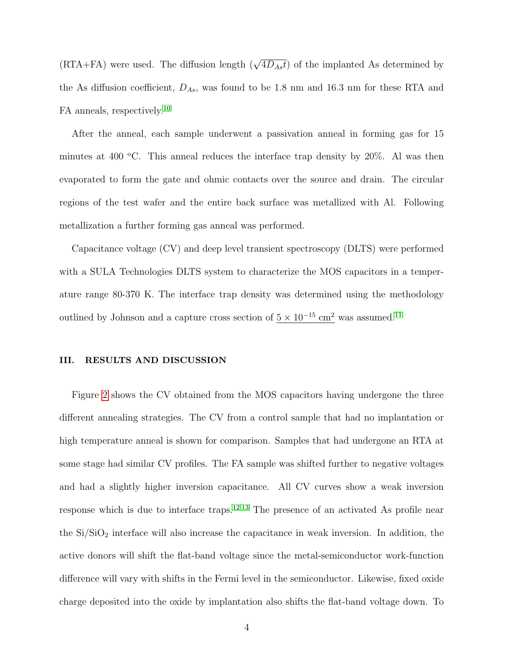(RTA+FA) were used. The diffusion length  $(\sqrt{4D_{As}t})$  of the implanted As determined by the As diffusion coefficient,  $D_{As}$ , was found to be 1.8 nm and 16.3 nm for these RTA and FA anneals, respectively.<sup>[10](#page-9-3)</sup>

After the anneal, each sample underwent a passivation anneal in forming gas for 15 minutes at 400  $\degree$ C. This anneal reduces the interface trap density by 20%. Al was then evaporated to form the gate and ohmic contacts over the source and drain. The circular regions of the test wafer and the entire back surface was metallized with Al. Following metallization a further forming gas anneal was performed.

Capacitance voltage (CV) and deep level transient spectroscopy (DLTS) were performed with a SULA Technologies DLTS system to characterize the MOS capacitors in a temperature range 80-370 K. The interface trap density was determined using the methodology outlined by Johnson and a capture cross section of  $5 \times 10^{-15}$  cm<sup>2</sup> was assumed.<sup>[11](#page-9-4)</sup>

#### III. RESULTS AND DISCUSSION

Figure [2](#page-11-0) shows the CV obtained from the MOS capacitors having undergone the three different annealing strategies. The CV from a control sample that had no implantation or high temperature anneal is shown for comparison. Samples that had undergone an RTA at some stage had similar CV profiles. The FA sample was shifted further to negative voltages and had a slightly higher inversion capacitance. All CV curves show a weak inversion response which is due to interface traps.[12,](#page-9-5)[13](#page-9-6) The presence of an activated As profile near the  $Si/SiO<sub>2</sub>$  interface will also increase the capacitance in weak inversion. In addition, the active donors will shift the flat-band voltage since the metal-semiconductor work-function difference will vary with shifts in the Fermi level in the semiconductor. Likewise, fixed oxide charge deposited into the oxide by implantation also shifts the flat-band voltage down. To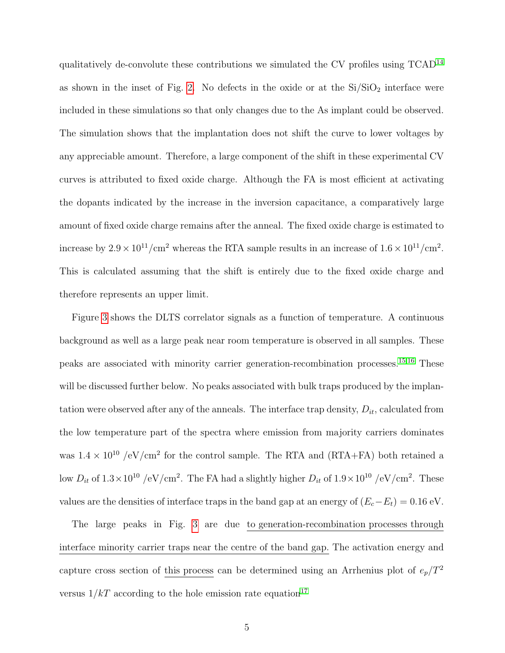qualitatively de-convolute these contributions we simulated the CV profiles using  $TCAD<sup>14</sup>$  $TCAD<sup>14</sup>$  $TCAD<sup>14</sup>$ as shown in the inset of Fig. [2.](#page-11-0) No defects in the oxide or at the  $Si/SiO<sub>2</sub>$  interface were included in these simulations so that only changes due to the As implant could be observed. The simulation shows that the implantation does not shift the curve to lower voltages by any appreciable amount. Therefore, a large component of the shift in these experimental CV curves is attributed to fixed oxide charge. Although the FA is most efficient at activating the dopants indicated by the increase in the inversion capacitance, a comparatively large amount of fixed oxide charge remains after the anneal. The fixed oxide charge is estimated to increase by  $2.9 \times 10^{11}/\text{cm}^2$  whereas the RTA sample results in an increase of  $1.6 \times 10^{11}/\text{cm}^2$ . This is calculated assuming that the shift is entirely due to the fixed oxide charge and therefore represents an upper limit.

Figure [3](#page-12-0) shows the DLTS correlator signals as a function of temperature. A continuous background as well as a large peak near room temperature is observed in all samples. These peaks are associated with minority carrier generation-recombination processes.[15,](#page-9-8)[16](#page-9-9) These will be discussed further below. No peaks associated with bulk traps produced by the implantation were observed after any of the anneals. The interface trap density,  $D_{it}$ , calculated from the low temperature part of the spectra where emission from majority carriers dominates was  $1.4 \times 10^{10}$  /eV/cm<sup>2</sup> for the control sample. The RTA and (RTA+FA) both retained a low  $D_{it}$  of  $1.3 \times 10^{10}$  /eV/cm<sup>2</sup>. The FA had a slightly higher  $D_{it}$  of  $1.9 \times 10^{10}$  /eV/cm<sup>2</sup>. These values are the densities of interface traps in the band gap at an energy of  $(E_c-E_t) = 0.16 \text{ eV}$ .

The large peaks in Fig. [3](#page-12-0) are due to generation-recombination processes through interface minority carrier traps near the centre of the band gap. The activation energy and capture cross section of this process can be determined using an Arrhenius plot of  $e_p/T^2$ versus  $1/kT$  according to the hole emission rate equation<sup>[17](#page-9-10)</sup>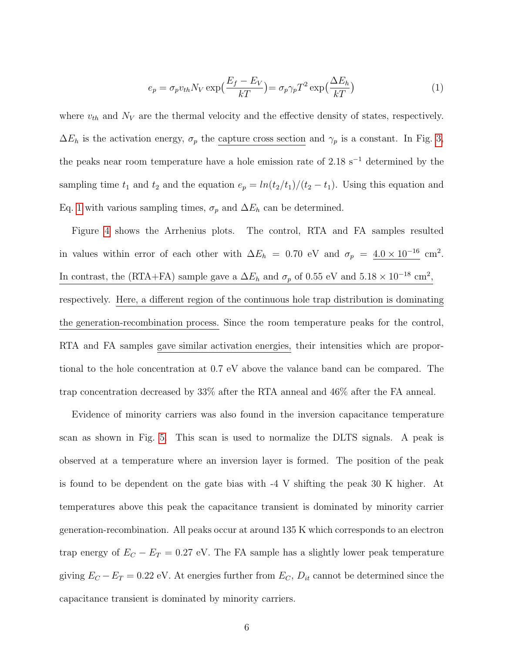<span id="page-6-0"></span>
$$
e_p = \sigma_p v_{th} N_V \exp\left(\frac{E_f - E_V}{kT}\right) = \sigma_p \gamma_p T^2 \exp\left(\frac{\Delta E_h}{kT}\right) \tag{1}
$$

where  $v_{th}$  and  $N_V$  are the thermal velocity and the effective density of states, respectively.  $\Delta E_h$  is the activation energy,  $\sigma_p$  the capture cross section and  $\gamma_p$  is a constant. In Fig. [3,](#page-12-0) the peaks near room temperature have a hole emission rate of 2.18 s<sup>−</sup><sup>1</sup> determined by the sampling time  $t_1$  and  $t_2$  and the equation  $e_p = ln(t_2/t_1)/(t_2 - t_1)$ . Using this equation and Eq. [1](#page-6-0) with various sampling times,  $\sigma_p$  and  $\Delta E_h$  can be determined.

Figure [4](#page-13-0) shows the Arrhenius plots. The control, RTA and FA samples resulted in values within error of each other with  $\Delta E_h = 0.70$  eV and  $\sigma_p = 4.0 \times 10^{-16}$  cm<sup>2</sup>. In contrast, the (RTA+FA) sample gave a  $\Delta E_h$  and  $\sigma_p$  of 0.55 eV and  $5.18 \times 10^{-18}$  cm<sup>2</sup>, respectively. Here, a different region of the continuous hole trap distribution is dominating the generation-recombination process. Since the room temperature peaks for the control, RTA and FA samples gave similar activation energies, their intensities which are proportional to the hole concentration at 0.7 eV above the valance band can be compared. The trap concentration decreased by 33% after the RTA anneal and 46% after the FA anneal.

Evidence of minority carriers was also found in the inversion capacitance temperature scan as shown in Fig. [5.](#page-14-0) This scan is used to normalize the DLTS signals. A peak is observed at a temperature where an inversion layer is formed. The position of the peak is found to be dependent on the gate bias with -4 V shifting the peak 30 K higher. At temperatures above this peak the capacitance transient is dominated by minority carrier generation-recombination. All peaks occur at around 135 K which corresponds to an electron trap energy of  $E_C - E_T = 0.27$  eV. The FA sample has a slightly lower peak temperature giving  $E_C - E_T = 0.22$  eV. At energies further from  $E_C$ ,  $D_{it}$  cannot be determined since the capacitance transient is dominated by minority carriers.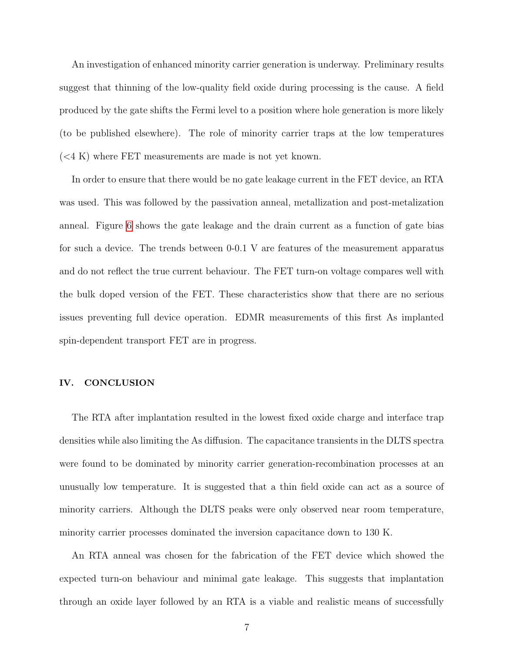An investigation of enhanced minority carrier generation is underway. Preliminary results suggest that thinning of the low-quality field oxide during processing is the cause. A field produced by the gate shifts the Fermi level to a position where hole generation is more likely (to be published elsewhere). The role of minority carrier traps at the low temperatures  $( $4 K$ ) where FET measurements are made is not yet known.$ 

In order to ensure that there would be no gate leakage current in the FET device, an RTA was used. This was followed by the passivation anneal, metallization and post-metalization anneal. Figure [6](#page-15-0) shows the gate leakage and the drain current as a function of gate bias for such a device. The trends between 0-0.1 V are features of the measurement apparatus and do not reflect the true current behaviour. The FET turn-on voltage compares well with the bulk doped version of the FET. These characteristics show that there are no serious issues preventing full device operation. EDMR measurements of this first As implanted spin-dependent transport FET are in progress.

#### IV. CONCLUSION

The RTA after implantation resulted in the lowest fixed oxide charge and interface trap densities while also limiting the As diffusion. The capacitance transients in the DLTS spectra were found to be dominated by minority carrier generation-recombination processes at an unusually low temperature. It is suggested that a thin field oxide can act as a source of minority carriers. Although the DLTS peaks were only observed near room temperature, minority carrier processes dominated the inversion capacitance down to 130 K.

An RTA anneal was chosen for the fabrication of the FET device which showed the expected turn-on behaviour and minimal gate leakage. This suggests that implantation through an oxide layer followed by an RTA is a viable and realistic means of successfully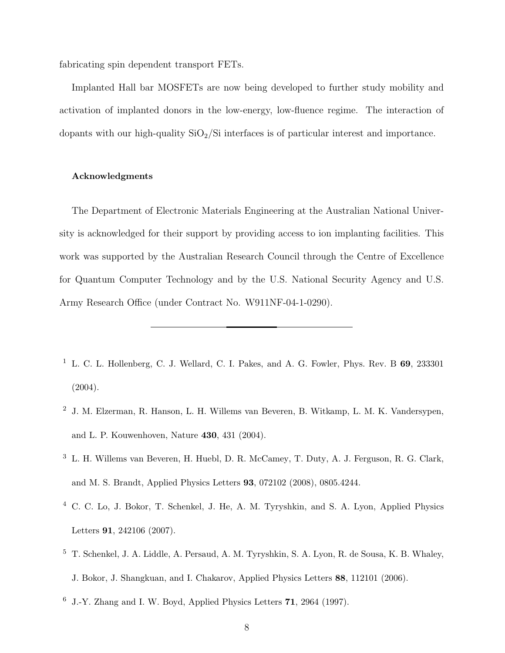fabricating spin dependent transport FETs.

Implanted Hall bar MOSFETs are now being developed to further study mobility and activation of implanted donors in the low-energy, low-fluence regime. The interaction of dopants with our high-quality  $SiO<sub>2</sub>/Si$  interfaces is of particular interest and importance.

#### Acknowledgments

The Department of Electronic Materials Engineering at the Australian National University is acknowledged for their support by providing access to ion implanting facilities. This work was supported by the Australian Research Council through the Centre of Excellence for Quantum Computer Technology and by the U.S. National Security Agency and U.S. Army Research Office (under Contract No. W911NF-04-1-0290).

- <span id="page-8-0"></span><sup>1</sup> L. C. L. Hollenberg, C. J. Wellard, C. I. Pakes, and A. G. Fowler, Phys. Rev. B  $69$ , 233301 (2004).
- <span id="page-8-1"></span><sup>2</sup> J. M. Elzerman, R. Hanson, L. H. Willems van Beveren, B. Witkamp, L. M. K. Vandersypen, and L. P. Kouwenhoven, Nature 430, 431 (2004).
- <span id="page-8-2"></span><sup>3</sup> L. H. Willems van Beveren, H. Huebl, D. R. McCamey, T. Duty, A. J. Ferguson, R. G. Clark, and M. S. Brandt, Applied Physics Letters 93, 072102 (2008), 0805.4244.
- <span id="page-8-3"></span><sup>4</sup> C. C. Lo, J. Bokor, T. Schenkel, J. He, A. M. Tyryshkin, and S. A. Lyon, Applied Physics Letters 91, 242106 (2007).
- <span id="page-8-4"></span><sup>5</sup> T. Schenkel, J. A. Liddle, A. Persaud, A. M. Tyryshkin, S. A. Lyon, R. de Sousa, K. B. Whaley, J. Bokor, J. Shangkuan, and I. Chakarov, Applied Physics Letters 88, 112101 (2006).
- <span id="page-8-5"></span> $6$  J.-Y. Zhang and I. W. Boyd, Applied Physics Letters 71, 2964 (1997).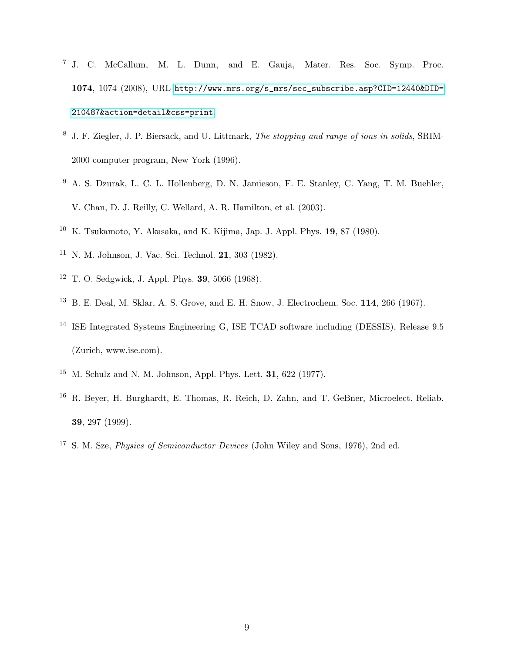- <span id="page-9-0"></span> J. C. McCallum, M. L. Dunn, and E. Gauja, Mater. Res. Soc. Symp. Proc. , 1074 (2008), URL [http://www.mrs.org/s\\_mrs/sec\\_subscribe.asp?CID=12440&DID=](http://www.mrs.org/s_mrs/sec_subscribe.asp?CID=12440&DID=210487&action=detail&css=print) [210487&action=detail&css=print](http://www.mrs.org/s_mrs/sec_subscribe.asp?CID=12440&DID=210487&action=detail&css=print).
- <span id="page-9-1"></span> J. F. Ziegler, J. P. Biersack, and U. Littmark, The stopping and range of ions in solids, SRIM-2000 computer program, New York (1996).
- <span id="page-9-2"></span> A. S. Dzurak, L. C. L. Hollenberg, D. N. Jamieson, F. E. Stanley, C. Yang, T. M. Buehler, V. Chan, D. J. Reilly, C. Wellard, A. R. Hamilton, et al. (2003).
- <span id="page-9-4"></span><span id="page-9-3"></span>K. Tsukamoto, Y. Akasaka, and K. Kijima, Jap. J. Appl. Phys. 19, 87 (1980).
- <span id="page-9-5"></span>N. M. Johnson, J. Vac. Sci. Technol. 21, 303 (1982).
- <span id="page-9-6"></span>T. O. Sedgwick, J. Appl. Phys. 39, 5066 (1968).
- <span id="page-9-7"></span>B. E. Deal, M. Sklar, A. S. Grove, and E. H. Snow, J. Electrochem. Soc. 114, 266 (1967).
- ISE Integrated Systems Engineering G, ISE TCAD software including (DESSIS), Release 9.5 (Zurich, www.ise.com).
- <span id="page-9-9"></span><span id="page-9-8"></span><sup>15</sup> M. Schulz and N. M. Johnson, Appl. Phys. Lett. **31**, 622 (1977).
- R. Beyer, H. Burghardt, E. Thomas, R. Reich, D. Zahn, and T. GeBner, Microelect. Reliab. , 297 (1999).
- <span id="page-9-10"></span>S. M. Sze, Physics of Semiconductor Devices (John Wiley and Sons, 1976), 2nd ed.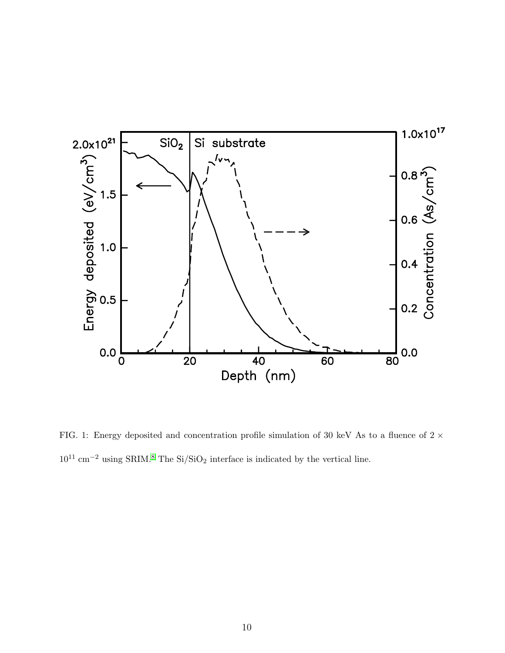

<span id="page-10-0"></span>FIG. 1: Energy deposited and concentration profile simulation of 30 keV As to a fluence of  $2 \times$  $10^{11} \; \mathrm{cm}^{-2}$  using SRIM.<sup>[8](#page-9-1)</sup> The Si/SiO<sub>2</sub> interface is indicated by the vertical line.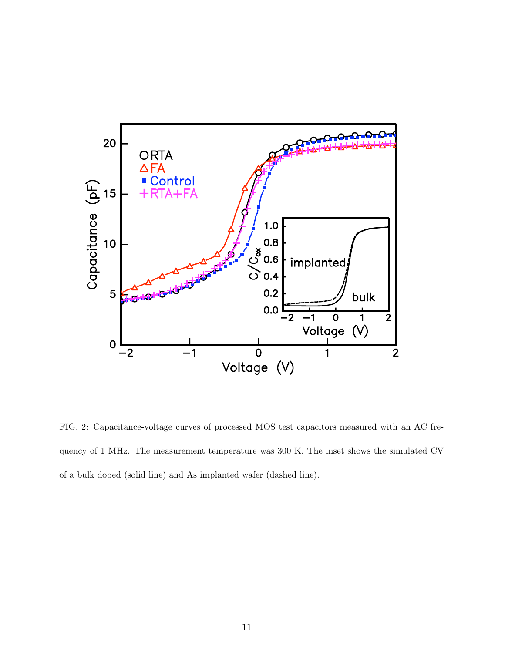

<span id="page-11-0"></span>FIG. 2: Capacitance-voltage curves of processed MOS test capacitors measured with an AC frequency of 1 MHz. The measurement temperature was 300 K. The inset shows the simulated CV of a bulk doped (solid line) and As implanted wafer (dashed line).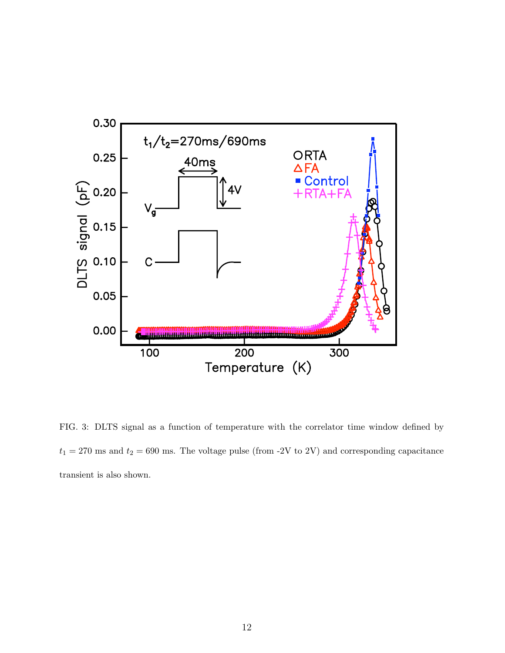

<span id="page-12-0"></span>FIG. 3: DLTS signal as a function of temperature with the correlator time window defined by  $t_1 = 270$  ms and  $t_2 = 690$  ms. The voltage pulse (from -2V to 2V) and corresponding capacitance transient is also shown.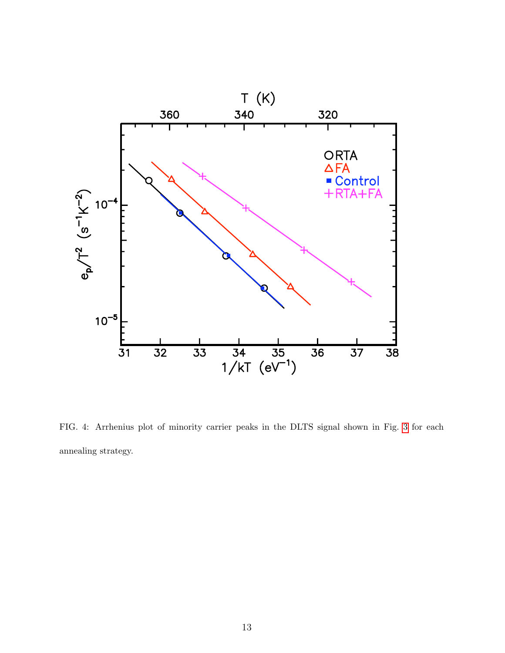

<span id="page-13-0"></span>FIG. 4: Arrhenius plot of minority carrier peaks in the DLTS signal shown in Fig. [3](#page-12-0) for each annealing strategy.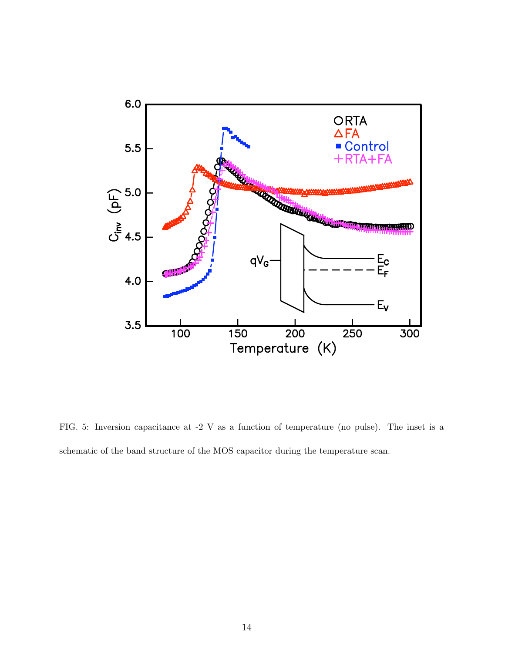

<span id="page-14-0"></span>FIG. 5: Inversion capacitance at -2 V as a function of temperature (no pulse). The inset is a schematic of the band structure of the MOS capacitor during the temperature scan.